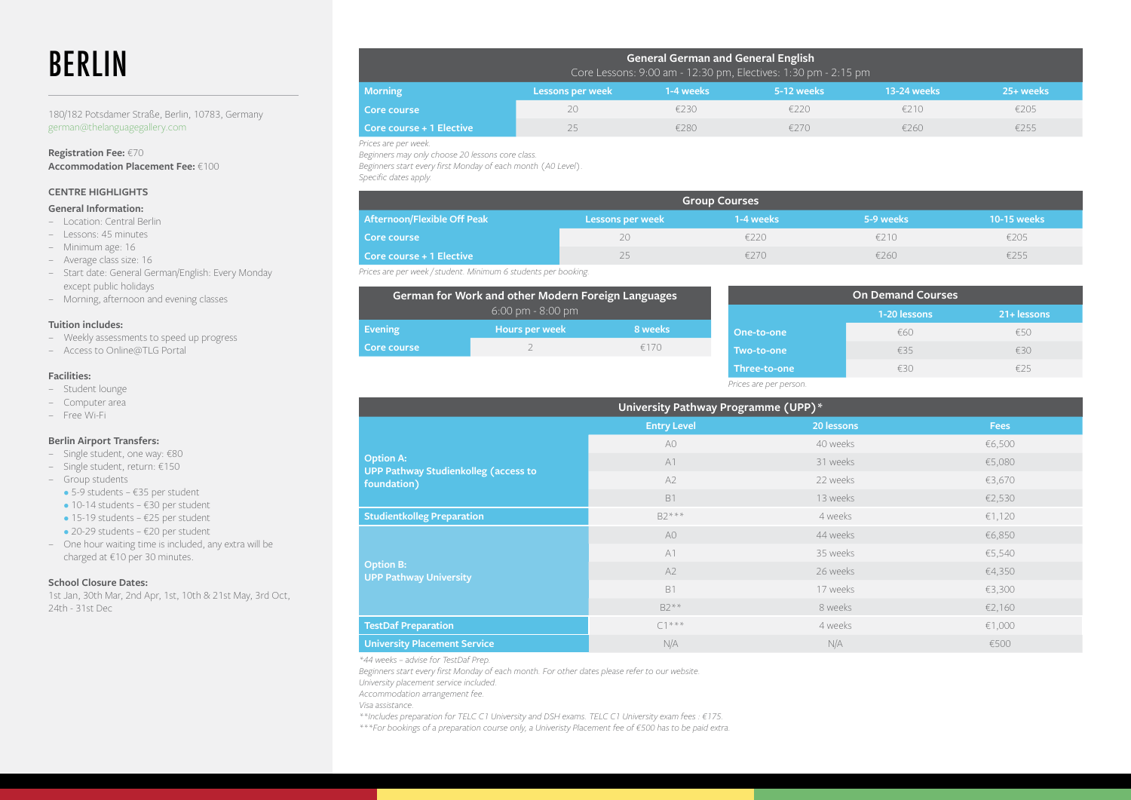# BERLIN

180/182 Potsdamer Straße, Berlin, 10783, Germany german@thelanguagegallery.com

**Registration Fee:** €70 **Accommodation Placement Fee:** €100

# **CENTRE HIGHLIGHTS**

### **General Information:**

- − Location: Central Berlin
- − Lessons: 45 minutes
- − Minimum age: 16
- − Average class size: 16
- − Start date: General German/English: Every Monday except public holidays
- − Morning, afternoon and evening classes

#### **Tuition includes:**

- − Weekly assessments to speed up progress
- − Access to Online@TLG Portal

#### **Facilities:**

- − Student lounge
- − Computer area
- − Free Wi-Fi

#### **Berlin Airport Transfers:**

- − Single student, one way: €80
- − Single student, return: €150
- − Group students
- 5-9 students €35 per student
- $\bullet$  10-14 students €30 per student
- 15-19 students €25 per student
- 20-29 students €20 per student
- − One hour waiting time is included, any extra will be charged at €10 per 30 minutes.

## **School Closure Dates:**

1st Jan, 30th Mar, 2nd Apr, 1st, 10th & 21st May, 3rd Oct, 24th - 31st Dec

| <b>General German and General English</b><br>Core Lessons: 9:00 am - 12:30 pm, Electives: 1:30 pm - 2:15 pm |                  |           |            |             |           |
|-------------------------------------------------------------------------------------------------------------|------------------|-----------|------------|-------------|-----------|
| <b>Morning</b>                                                                                              | Lessons per week | 1-4 weeks | 5-12 weeks | 13-24 weeks | 25+ weeks |
| Core course                                                                                                 | 20               | £230      | £220       | £210        | €205      |
| Core course + 1 Elective                                                                                    | 25               | €280      | £270       | £260        | €255      |

*Prices are per week.* 

*Beginners may only choose 20 lessons core class.*

*Beginners start every first Monday of each month (A0 Level).*

*Specific dates apply.*

| <b>Group Courses</b>        |                  |           |           |             |
|-----------------------------|------------------|-----------|-----------|-------------|
| Afternoon/Flexible Off Peak | Lessons per week | 1-4 weeks | 5-9 weeks | 10-15 weeks |
| Core course                 | 20               | E220.     | £210      | €205        |
| Core course + 1 Elective    |                  | $=2/(1)$  | £260      | €255        |

*Prices are per week / student. Minimum 6 students per booking.*

| German for Work and other Modern Foreign Languages<br>$6:00 \text{ pm} - 8:00 \text{ pm}$ |                |         |  |  |
|-------------------------------------------------------------------------------------------|----------------|---------|--|--|
| <b>Evening</b>                                                                            | Hours per week | 8 weeks |  |  |
| Core course                                                                               |                | £170    |  |  |

| <b>On Demand Courses</b> |              |             |  |
|--------------------------|--------------|-------------|--|
|                          | 1-20 lessons | 21+ lessons |  |
| One-to-one               | €60          | £50         |  |
| Two-to-one               | €35          | £30         |  |
| Three-to-one             | €30          | £25         |  |
| Prices are per person.   |              |             |  |

| University Pathway Programme (UPP)*                        |                    |            |             |  |
|------------------------------------------------------------|--------------------|------------|-------------|--|
|                                                            | <b>Entry Level</b> | 20 lessons | <b>Fees</b> |  |
|                                                            | A <sub>0</sub>     | 40 weeks   | €6,500      |  |
| <b>Option A:</b>                                           | A1                 | 31 weeks   | €5,080      |  |
| <b>UPP Pathway Studienkolleg (access to</b><br>foundation) | A2                 | 22 weeks   | €3,670      |  |
|                                                            | <b>B1</b>          | 13 weeks   | €2,530      |  |
| <b>Studientkolleg Preparation</b>                          | $B2***$            | 4 weeks    | €1,120      |  |
|                                                            | A <sub>0</sub>     | 44 weeks   | €6,850      |  |
|                                                            | A1                 | 35 weeks   | €5,540      |  |
| <b>Option B:</b><br><b>UPP Pathway University</b>          | A2                 | 26 weeks   | €4,350      |  |
|                                                            | <b>B1</b>          | 17 weeks   | €3,300      |  |
|                                                            | $B2**$             | 8 weeks    | €2,160      |  |
| <b>TestDaf Preparation</b>                                 | $C1***$            | 4 weeks    | €1,000      |  |
| <b>University Placement Service</b>                        | N/A                | N/A        | €500        |  |

*\*44 weeks – advise for TestDaf Prep.*

*Beginners start every first Monday of each month. For other dates please refer to our website.*

*University placement service included.* 

*Accommodation arrangement fee.*

*Visa assistance.*

*\*\*Includes preparation for TELC C1 University and DSH exams. TELC C1 University exam fees : €175.*

*\*\*\*For bookings of a preparation course only, a Univeristy Placement fee of €500 has to be paid extra.*